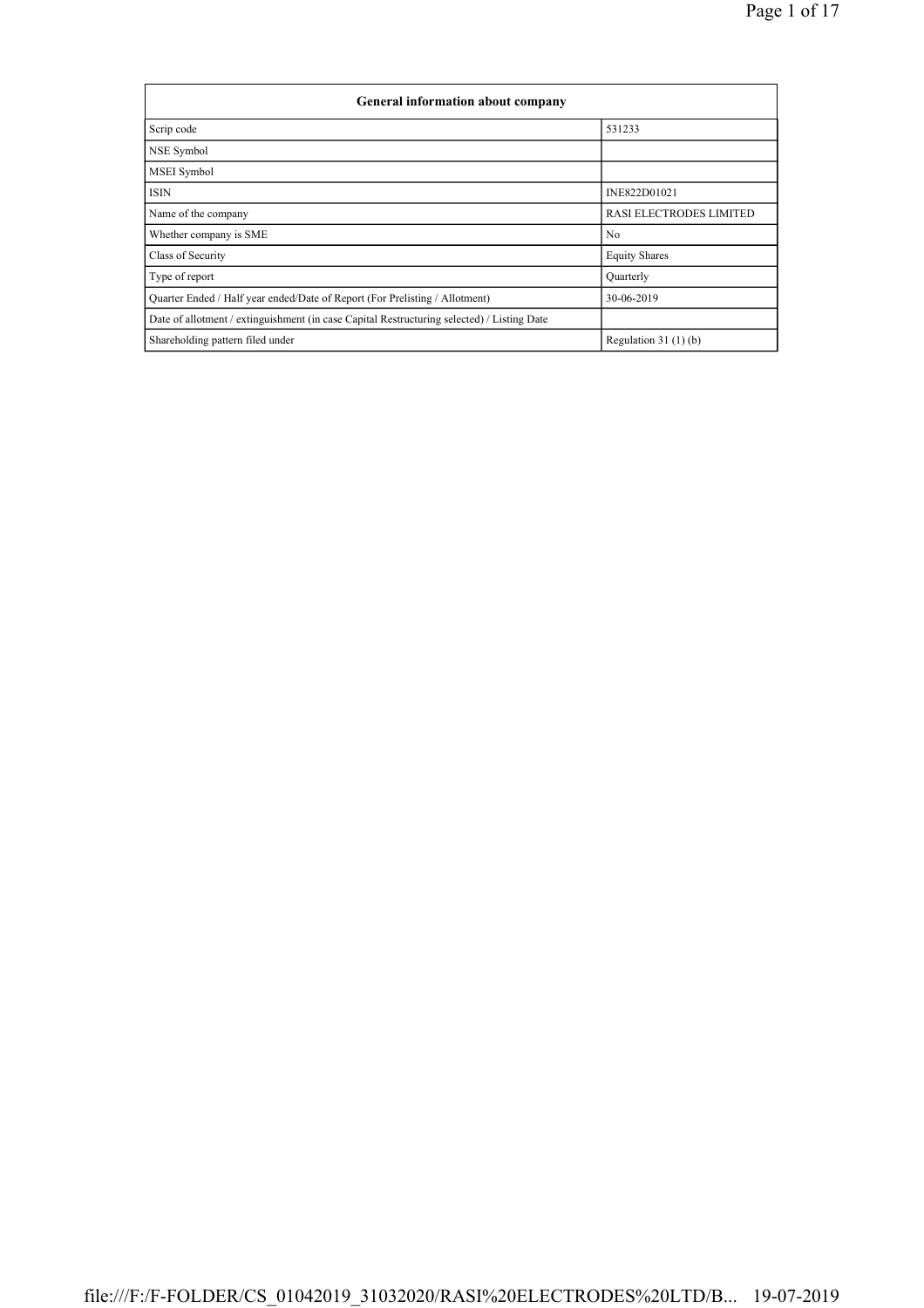| General information about company                                                          |                                |  |  |  |  |  |  |
|--------------------------------------------------------------------------------------------|--------------------------------|--|--|--|--|--|--|
| Scrip code                                                                                 | 531233                         |  |  |  |  |  |  |
| NSE Symbol                                                                                 |                                |  |  |  |  |  |  |
| <b>MSEI</b> Symbol                                                                         |                                |  |  |  |  |  |  |
| <b>ISIN</b>                                                                                | INE822D01021                   |  |  |  |  |  |  |
| Name of the company                                                                        | <b>RASI ELECTRODES LIMITED</b> |  |  |  |  |  |  |
| Whether company is SME                                                                     | No                             |  |  |  |  |  |  |
| Class of Security                                                                          | <b>Equity Shares</b>           |  |  |  |  |  |  |
| Type of report                                                                             | Quarterly                      |  |  |  |  |  |  |
| Quarter Ended / Half year ended/Date of Report (For Prelisting / Allotment)                | 30-06-2019                     |  |  |  |  |  |  |
| Date of allotment / extinguishment (in case Capital Restructuring selected) / Listing Date |                                |  |  |  |  |  |  |
| Shareholding pattern filed under                                                           | Regulation $31(1)(b)$          |  |  |  |  |  |  |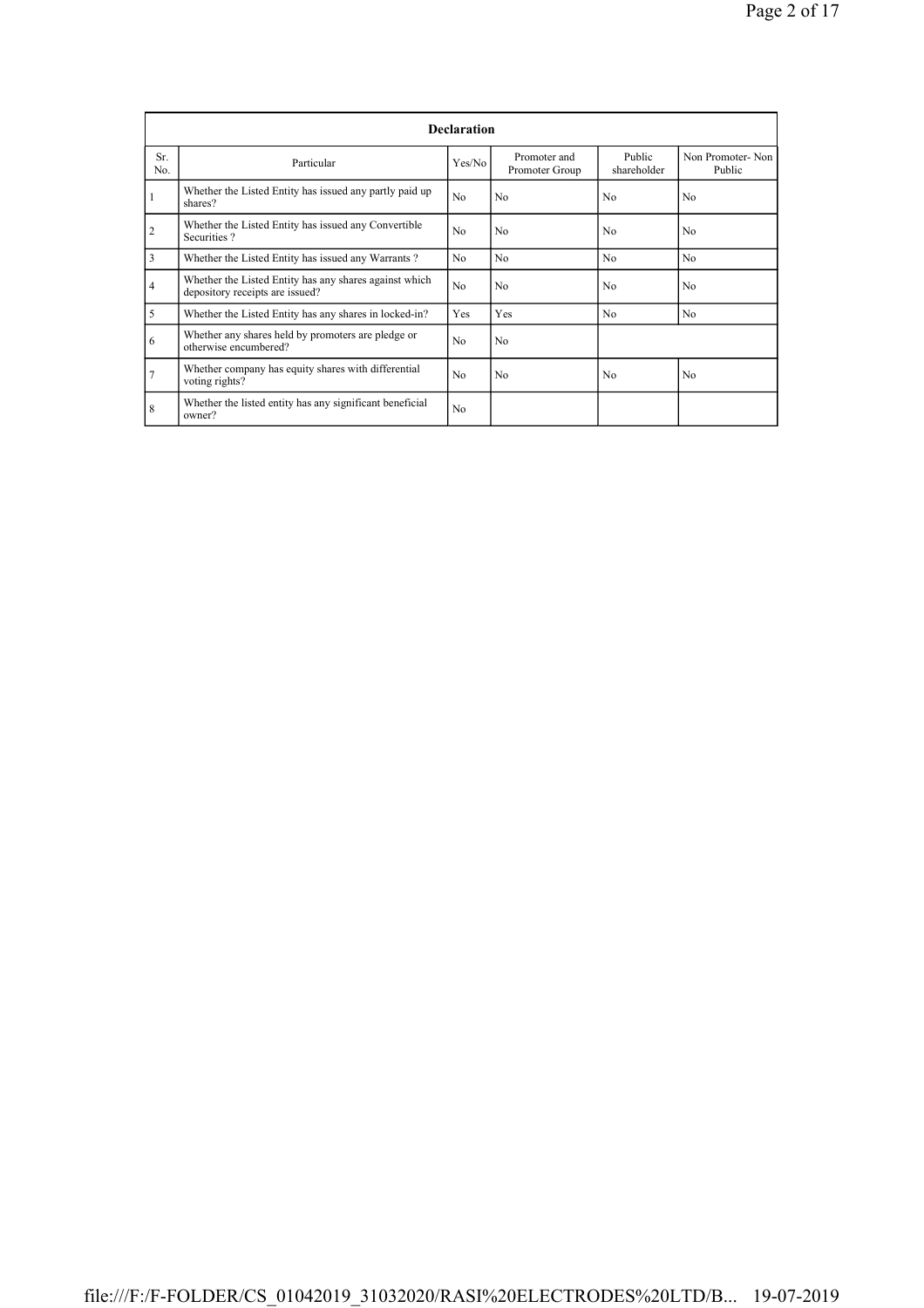|                | <b>Declaration</b>                                                                        |                |                                |                       |                            |  |  |  |  |
|----------------|-------------------------------------------------------------------------------------------|----------------|--------------------------------|-----------------------|----------------------------|--|--|--|--|
| Sr.<br>No.     | Particular                                                                                | Yes/No         | Promoter and<br>Promoter Group | Public<br>shareholder | Non Promoter-Non<br>Public |  |  |  |  |
|                | Whether the Listed Entity has issued any partly paid up<br>shares?                        | N <sub>0</sub> | N <sub>0</sub>                 | No                    | No                         |  |  |  |  |
| $\overline{2}$ | Whether the Listed Entity has issued any Convertible<br>Securities?                       | No             | N <sub>0</sub>                 | No                    | N <sub>0</sub>             |  |  |  |  |
| 3              | Whether the Listed Entity has issued any Warrants?                                        | N <sub>0</sub> | N <sub>0</sub>                 | N <sub>0</sub>        | N <sub>0</sub>             |  |  |  |  |
| $\overline{4}$ | Whether the Listed Entity has any shares against which<br>depository receipts are issued? | No             | N <sub>0</sub>                 | N <sub>0</sub>        | No                         |  |  |  |  |
| 5              | Whether the Listed Entity has any shares in locked-in?                                    | Yes            | Yes                            | No                    | N <sub>0</sub>             |  |  |  |  |
| 6              | Whether any shares held by promoters are pledge or<br>otherwise encumbered?               | No             | N <sub>0</sub>                 |                       |                            |  |  |  |  |
| $\overline{7}$ | Whether company has equity shares with differential<br>voting rights?                     | No.            | N <sub>0</sub>                 | No                    | N <sub>0</sub>             |  |  |  |  |
| 8              | Whether the listed entity has any significant beneficial<br>owner?                        | No             |                                |                       |                            |  |  |  |  |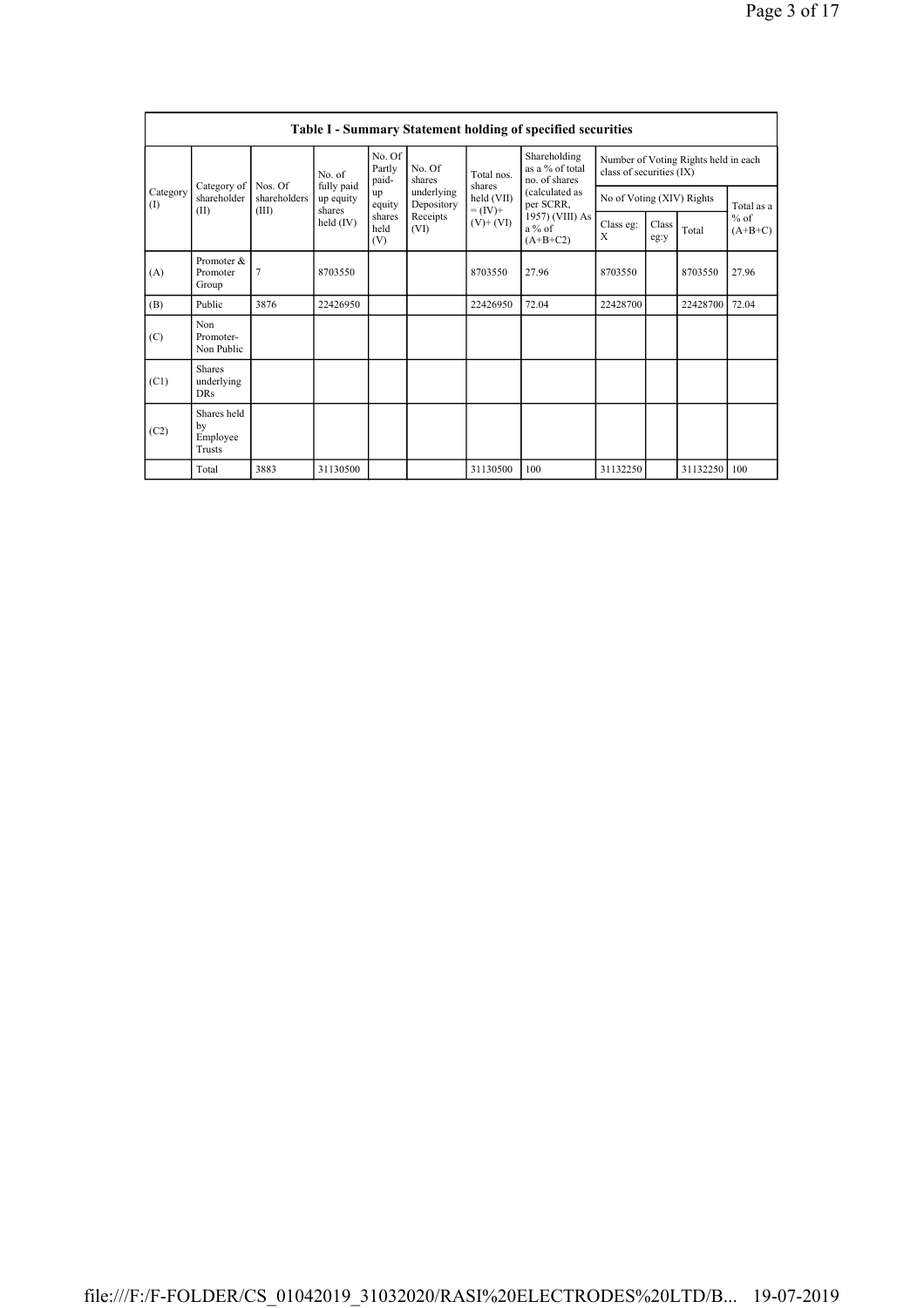|                 | Table I - Summary Statement holding of specified securities |                         |                                                          |                           |                                                                  |                                                      |                                                                                                                              |                                                                  |               |          |                     |  |
|-----------------|-------------------------------------------------------------|-------------------------|----------------------------------------------------------|---------------------------|------------------------------------------------------------------|------------------------------------------------------|------------------------------------------------------------------------------------------------------------------------------|------------------------------------------------------------------|---------------|----------|---------------------|--|
|                 |                                                             |                         | No. of<br>fully paid<br>up equity<br>shares<br>held (IV) | No. Of<br>Partly<br>paid- | No. Of<br>shares<br>underlying<br>Depository<br>Receipts<br>(VI) | Total nos.                                           | Shareholding<br>as a % of total<br>no. of shares<br>(calculated as<br>per SCRR,<br>1957) (VIII) As<br>$a\%$ of<br>$(A+B+C2)$ | Number of Voting Rights held in each<br>class of securities (IX) |               |          |                     |  |
| Category<br>(I) | Category of<br>shareholder                                  | Nos. Of<br>shareholders |                                                          | up<br>equity              |                                                                  | shares<br>held (VII)<br>$= (IV) +$<br>$(V)$ + $(VI)$ |                                                                                                                              | No of Voting (XIV) Rights                                        |               |          | Total as a          |  |
|                 | (II)                                                        | (III)                   |                                                          | shares<br>held<br>(V)     |                                                                  |                                                      |                                                                                                                              | Class eg:<br>X                                                   | Class<br>eg:y | Total    | $%$ of<br>$(A+B+C)$ |  |
| (A)             | Promoter &<br>Promoter<br>Group                             | $\overline{7}$          | 8703550                                                  |                           |                                                                  | 8703550                                              | 27.96                                                                                                                        | 8703550                                                          |               | 8703550  | 27.96               |  |
| (B)             | Public                                                      | 3876                    | 22426950                                                 |                           |                                                                  | 22426950                                             | 72.04                                                                                                                        | 22428700                                                         |               | 22428700 | 72.04               |  |
| (C)             | Non<br>Promoter-<br>Non Public                              |                         |                                                          |                           |                                                                  |                                                      |                                                                                                                              |                                                                  |               |          |                     |  |
| (C1)            | <b>Shares</b><br>underlying<br><b>DRs</b>                   |                         |                                                          |                           |                                                                  |                                                      |                                                                                                                              |                                                                  |               |          |                     |  |
| (C2)            | Shares held<br>by<br>Employee<br>Trusts                     |                         |                                                          |                           |                                                                  |                                                      |                                                                                                                              |                                                                  |               |          |                     |  |
|                 | Total                                                       | 3883                    | 31130500                                                 |                           |                                                                  | 31130500                                             | 100                                                                                                                          | 31132250                                                         |               | 31132250 | 100                 |  |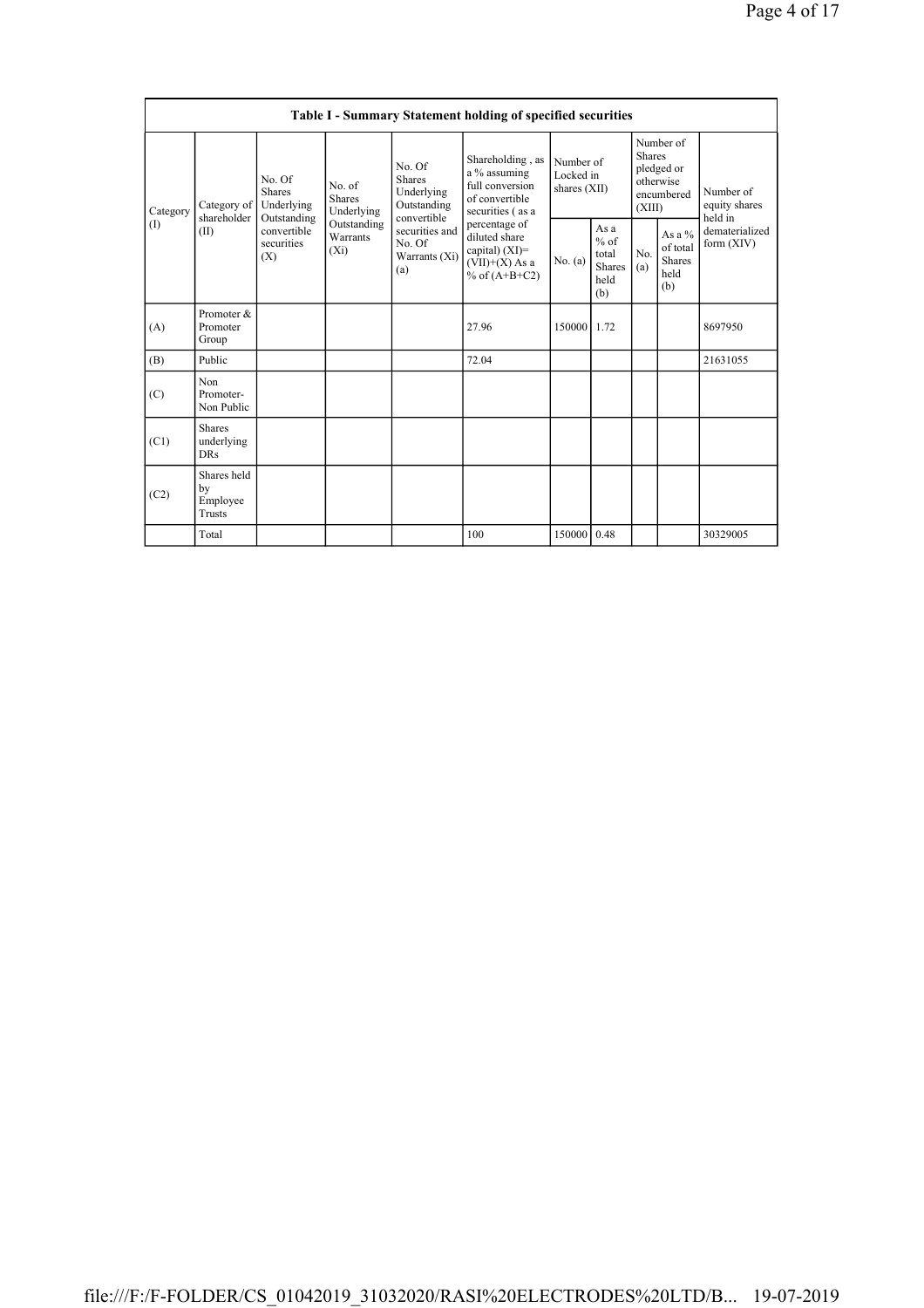|                 | Table I - Summary Statement holding of specified securities |                                                                                                                                |                         |                                                                                                                  |                                                                                                                                                                                         |                                        |                                                         |                                                                               |                                                    |                                       |  |
|-----------------|-------------------------------------------------------------|--------------------------------------------------------------------------------------------------------------------------------|-------------------------|------------------------------------------------------------------------------------------------------------------|-----------------------------------------------------------------------------------------------------------------------------------------------------------------------------------------|----------------------------------------|---------------------------------------------------------|-------------------------------------------------------------------------------|----------------------------------------------------|---------------------------------------|--|
| Category<br>(1) | Category of<br>shareholder<br>(II)                          | No. Of<br>No. of<br><b>Shares</b><br><b>Shares</b><br>Underlying<br>Outstanding<br>convertible<br>securities<br>$(X_i)$<br>(X) | Underlying              | No. Of<br>Shares<br>Underlying<br>Outstanding<br>convertible<br>securities and<br>No. Of<br>Warrants (Xi)<br>(a) | Shareholding, as<br>a % assuming<br>full conversion<br>of convertible<br>securities (as a<br>percentage of<br>diluted share<br>capital) $(XI)$ =<br>$(VII)+(X)$ As a<br>% of $(A+B+C2)$ | Number of<br>Locked in<br>shares (XII) |                                                         | Number of<br><b>Shares</b><br>pledged or<br>otherwise<br>encumbered<br>(XIII) |                                                    | Number of<br>equity shares<br>held in |  |
|                 |                                                             |                                                                                                                                | Outstanding<br>Warrants |                                                                                                                  |                                                                                                                                                                                         | No. (a)                                | As a<br>$%$ of<br>total<br><b>Shares</b><br>held<br>(b) | No.<br>(a)                                                                    | As a %<br>of total<br><b>Shares</b><br>held<br>(b) | dematerialized<br>form $(XIV)$        |  |
| (A)             | Promoter &<br>Promoter<br>Group                             |                                                                                                                                |                         |                                                                                                                  | 27.96                                                                                                                                                                                   | 150000 1.72                            |                                                         |                                                                               |                                                    | 8697950                               |  |
| (B)             | Public                                                      |                                                                                                                                |                         |                                                                                                                  | 72.04                                                                                                                                                                                   |                                        |                                                         |                                                                               |                                                    | 21631055                              |  |
| (C)             | Non<br>Promoter-<br>Non Public                              |                                                                                                                                |                         |                                                                                                                  |                                                                                                                                                                                         |                                        |                                                         |                                                                               |                                                    |                                       |  |
| (C1)            | <b>Shares</b><br>underlying<br><b>DRs</b>                   |                                                                                                                                |                         |                                                                                                                  |                                                                                                                                                                                         |                                        |                                                         |                                                                               |                                                    |                                       |  |
| (C2)            | Shares held<br>by<br>Employee<br>Trusts                     |                                                                                                                                |                         |                                                                                                                  |                                                                                                                                                                                         |                                        |                                                         |                                                                               |                                                    |                                       |  |
|                 | Total                                                       |                                                                                                                                |                         |                                                                                                                  | 100                                                                                                                                                                                     | 150000 0.48                            |                                                         |                                                                               |                                                    | 30329005                              |  |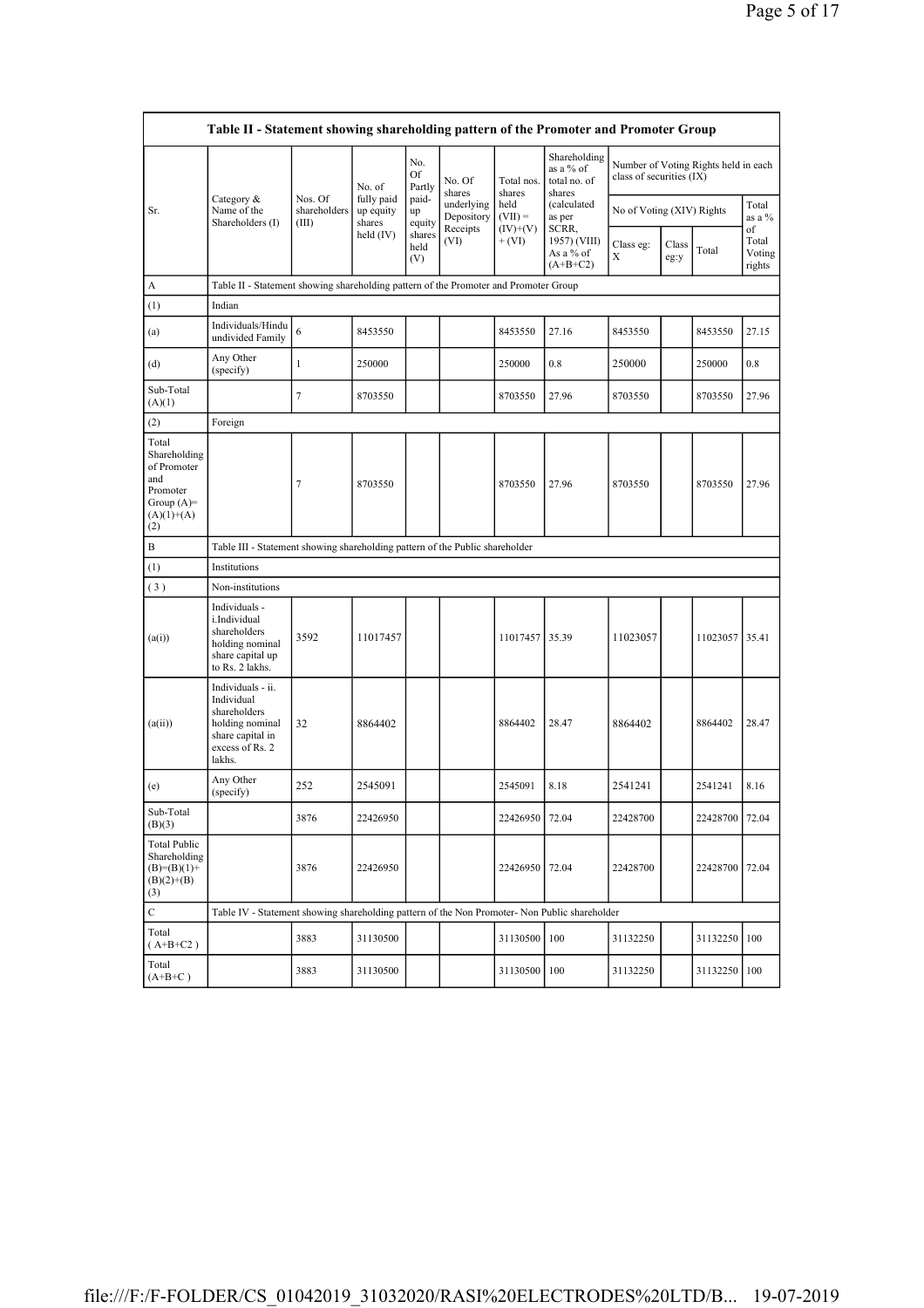|                                                                                                | Table II - Statement showing shareholding pattern of the Promoter and Promoter Group                                |                                                                              |                                   |                       |                          |                        |                                                     |                                                                  |               |                |                                 |
|------------------------------------------------------------------------------------------------|---------------------------------------------------------------------------------------------------------------------|------------------------------------------------------------------------------|-----------------------------------|-----------------------|--------------------------|------------------------|-----------------------------------------------------|------------------------------------------------------------------|---------------|----------------|---------------------------------|
|                                                                                                | Category &<br>Name of the<br>Shareholders (I)                                                                       |                                                                              | No. of                            | No.<br>Of<br>Partly   | No. Of<br>shares         | Total nos.<br>shares   | Shareholding<br>as a % of<br>total no. of<br>shares | Number of Voting Rights held in each<br>class of securities (IX) |               |                |                                 |
| Sr.                                                                                            |                                                                                                                     | Nos. Of<br>shareholders<br>(III)                                             | fully paid<br>up equity<br>shares | paid-<br>up<br>equity | underlying<br>Depository | held<br>$(VII) =$      | (calculated<br>as per                               | No of Voting (XIV) Rights                                        |               |                | Total<br>as a %                 |
|                                                                                                |                                                                                                                     |                                                                              | held (IV)                         | shares<br>held<br>(V) | Receipts<br>(VI)         | $(IV)+(V)$<br>$+ (VI)$ | SCRR,<br>1957) (VIII)<br>As a % of<br>$(A+B+C2)$    | Class eg:<br>X                                                   | Class<br>eg:y | Total          | of<br>Total<br>Voting<br>rights |
| A                                                                                              | Table II - Statement showing shareholding pattern of the Promoter and Promoter Group                                |                                                                              |                                   |                       |                          |                        |                                                     |                                                                  |               |                |                                 |
| (1)                                                                                            | Indian                                                                                                              |                                                                              |                                   |                       |                          |                        |                                                     |                                                                  |               |                |                                 |
| (a)                                                                                            | Individuals/Hindu<br>undivided Family                                                                               | 6                                                                            | 8453550                           |                       |                          | 8453550                | 27.16                                               | 8453550                                                          |               | 8453550        | 27.15                           |
| (d)                                                                                            | Any Other<br>(specify)                                                                                              | $\mathbf{1}$                                                                 | 250000                            |                       |                          | 250000                 | 0.8                                                 | 250000                                                           |               | 250000         | 0.8                             |
| Sub-Total<br>(A)(1)                                                                            |                                                                                                                     | 7                                                                            | 8703550                           |                       |                          | 8703550                | 27.96                                               | 8703550                                                          |               | 8703550        | 27.96                           |
| (2)                                                                                            | Foreign                                                                                                             |                                                                              |                                   |                       |                          |                        |                                                     |                                                                  |               |                |                                 |
| Total<br>Shareholding<br>of Promoter<br>and<br>Promoter<br>Group $(A)=$<br>$(A)(1)+(A)$<br>(2) |                                                                                                                     | 7                                                                            | 8703550                           |                       |                          | 8703550                | 27.96                                               | 8703550                                                          |               | 8703550        | 27.96                           |
| B                                                                                              |                                                                                                                     | Table III - Statement showing shareholding pattern of the Public shareholder |                                   |                       |                          |                        |                                                     |                                                                  |               |                |                                 |
| (1)                                                                                            | Institutions                                                                                                        |                                                                              |                                   |                       |                          |                        |                                                     |                                                                  |               |                |                                 |
| (3)                                                                                            | Non-institutions                                                                                                    |                                                                              |                                   |                       |                          |                        |                                                     |                                                                  |               |                |                                 |
| (a(i))                                                                                         | Individuals -<br>i.Individual<br>shareholders<br>holding nominal<br>share capital up<br>to Rs. 2 lakhs.             | 3592                                                                         | 11017457                          |                       |                          | 11017457               | 35.39                                               | 11023057                                                         |               | 11023057 35.41 |                                 |
| (a(ii))                                                                                        | Individuals - ii.<br>Individual<br>shareholders<br>holding nominal<br>share capital in<br>excess of Rs. 2<br>lakhs. | 32                                                                           | 8864402                           |                       |                          | 8864402                | 28.47                                               | 8864402                                                          |               | 8864402        | 28.47                           |
| (e)                                                                                            | Any Other<br>(specify)                                                                                              | 252                                                                          | 2545091                           |                       |                          | 2545091                | 8.18                                                | 2541241                                                          |               | 2541241        | 8.16                            |
| Sub-Total<br>(B)(3)                                                                            |                                                                                                                     | 3876                                                                         | 22426950                          |                       |                          | 22426950 72.04         |                                                     | 22428700                                                         |               | 22428700 72.04 |                                 |
| <b>Total Public</b><br>Shareholding<br>$(B)= (B)(1) +$<br>$(B)(2)+(B)$<br>(3)                  |                                                                                                                     | 3876                                                                         | 22426950                          |                       |                          | 22426950               | 72.04                                               | 22428700                                                         |               | 22428700       | 72.04                           |
| $\mathbf C$                                                                                    | Table IV - Statement showing shareholding pattern of the Non Promoter- Non Public shareholder                       |                                                                              |                                   |                       |                          |                        |                                                     |                                                                  |               |                |                                 |
| Total<br>$(A+B+C2)$                                                                            |                                                                                                                     | 3883                                                                         | 31130500                          |                       |                          | 31130500               | 100                                                 | 31132250                                                         |               | 31132250       | 100                             |
| Total<br>$(A+B+C)$                                                                             |                                                                                                                     | 3883                                                                         | 31130500                          |                       |                          | 31130500               | 100                                                 | 31132250                                                         |               | 31132250       | 100                             |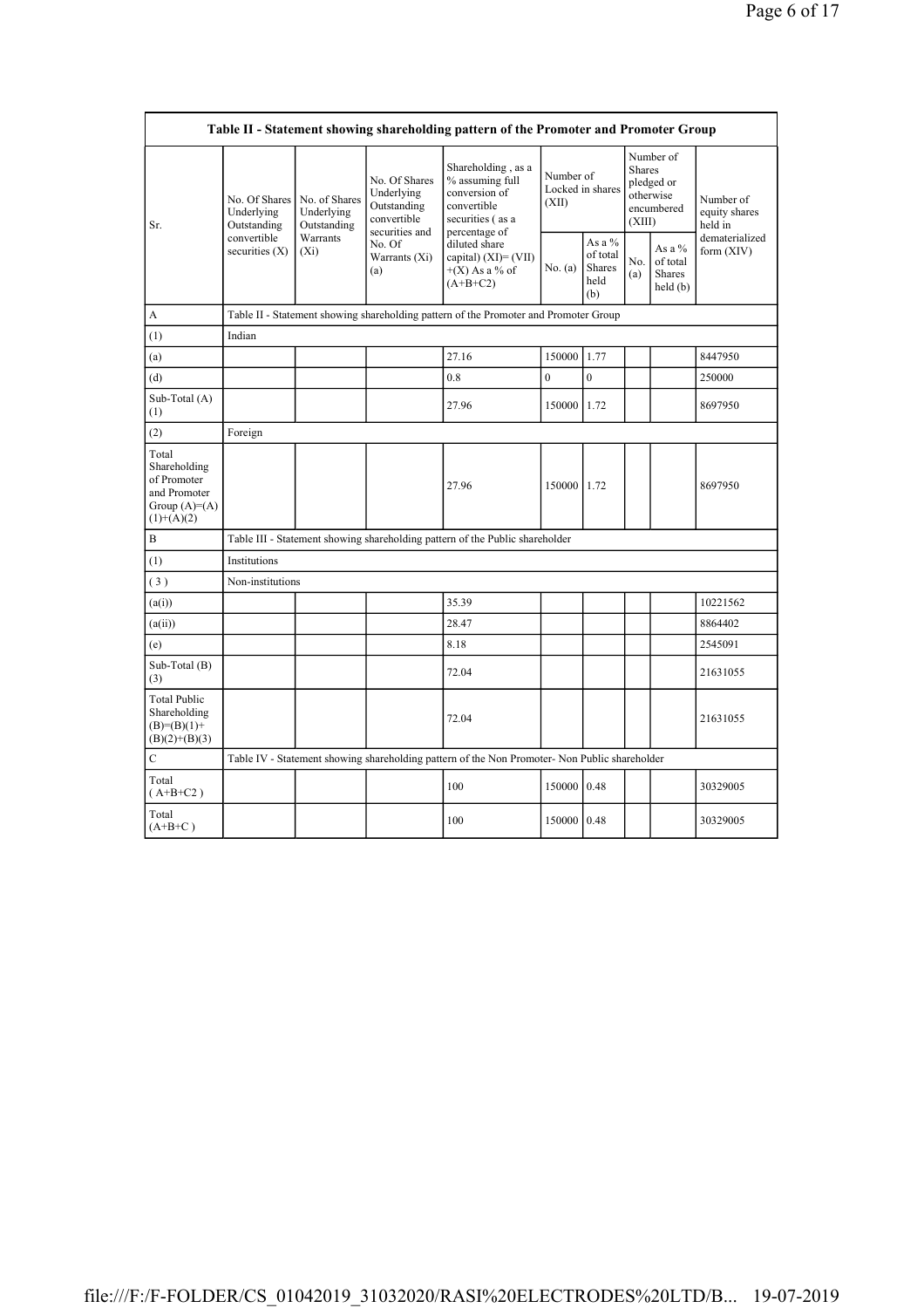| Table II - Statement showing shareholding pattern of the Promoter and Promoter Group   |                                                                               |                                            |                                                                             |                                                                                                            |                                        |                                               |                                                                               |                                                |                                       |  |
|----------------------------------------------------------------------------------------|-------------------------------------------------------------------------------|--------------------------------------------|-----------------------------------------------------------------------------|------------------------------------------------------------------------------------------------------------|----------------------------------------|-----------------------------------------------|-------------------------------------------------------------------------------|------------------------------------------------|---------------------------------------|--|
| Sr.                                                                                    | No. Of Shares<br>Underlying<br>Outstanding<br>convertible<br>securities $(X)$ | No. of Shares<br>Underlying<br>Outstanding | No. Of Shares<br>Underlying<br>Outstanding<br>convertible<br>securities and | Shareholding, as a<br>% assuming full<br>conversion of<br>convertible<br>securities (as a<br>percentage of | Number of<br>Locked in shares<br>(XII) |                                               | Number of<br><b>Shares</b><br>pledged or<br>otherwise<br>encumbered<br>(XIII) |                                                | Number of<br>equity shares<br>held in |  |
|                                                                                        |                                                                               | Warrants<br>$(X_i)$                        | No. Of<br>Warrants (Xi)<br>(a)                                              | diluted share<br>capital) $(XI) = (VII)$<br>$+(X)$ As a % of<br>$(A+B+C2)$                                 | No. (a)                                | As a $%$<br>of total<br>Shares<br>held<br>(b) | No.<br>(a)                                                                    | As a %<br>of total<br><b>Shares</b><br>held(b) | dematerialized<br>form $(XIV)$        |  |
| A                                                                                      |                                                                               |                                            |                                                                             | Table II - Statement showing shareholding pattern of the Promoter and Promoter Group                       |                                        |                                               |                                                                               |                                                |                                       |  |
| (1)                                                                                    | Indian                                                                        |                                            |                                                                             |                                                                                                            |                                        |                                               |                                                                               |                                                |                                       |  |
| (a)                                                                                    |                                                                               |                                            |                                                                             | 27.16                                                                                                      | 150000 1.77                            |                                               |                                                                               |                                                | 8447950                               |  |
| (d)                                                                                    |                                                                               |                                            |                                                                             | 0.8                                                                                                        | $\overline{0}$                         | $\overline{0}$                                |                                                                               |                                                | 250000                                |  |
| Sub-Total (A)<br>(1)                                                                   |                                                                               |                                            |                                                                             | 27.96                                                                                                      | 150000 1.72                            |                                               |                                                                               |                                                | 8697950                               |  |
| (2)                                                                                    | Foreign                                                                       |                                            |                                                                             |                                                                                                            |                                        |                                               |                                                                               |                                                |                                       |  |
| Total<br>Shareholding<br>of Promoter<br>and Promoter<br>Group $(A)=A)$<br>$(1)+(A)(2)$ |                                                                               |                                            |                                                                             | 27.96                                                                                                      | 150000 1.72                            |                                               |                                                                               |                                                | 8697950                               |  |
| B                                                                                      |                                                                               |                                            |                                                                             | Table III - Statement showing shareholding pattern of the Public shareholder                               |                                        |                                               |                                                                               |                                                |                                       |  |
| (1)                                                                                    | Institutions                                                                  |                                            |                                                                             |                                                                                                            |                                        |                                               |                                                                               |                                                |                                       |  |
| (3)                                                                                    | Non-institutions                                                              |                                            |                                                                             |                                                                                                            |                                        |                                               |                                                                               |                                                |                                       |  |
| (a(i))                                                                                 |                                                                               |                                            |                                                                             | 35.39                                                                                                      |                                        |                                               |                                                                               |                                                | 10221562                              |  |
| (a(ii))                                                                                |                                                                               |                                            |                                                                             | 28.47                                                                                                      |                                        |                                               |                                                                               |                                                | 8864402                               |  |
| (e)                                                                                    |                                                                               |                                            |                                                                             | 8.18                                                                                                       |                                        |                                               |                                                                               |                                                | 2545091                               |  |
| Sub-Total (B)<br>(3)                                                                   |                                                                               |                                            |                                                                             | 72.04                                                                                                      |                                        |                                               |                                                                               |                                                | 21631055                              |  |
| <b>Total Public</b><br>Shareholding<br>$(B)= (B)(1) +$<br>$(B)(2)+(B)(3)$              |                                                                               |                                            |                                                                             | 72.04                                                                                                      |                                        |                                               |                                                                               |                                                | 21631055                              |  |
| $\mathbf C$                                                                            |                                                                               |                                            |                                                                             | Table IV - Statement showing shareholding pattern of the Non Promoter- Non Public shareholder              |                                        |                                               |                                                                               |                                                |                                       |  |
| Total<br>$(A+B+C2)$                                                                    |                                                                               |                                            |                                                                             | 100                                                                                                        | 150000 0.48                            |                                               |                                                                               |                                                | 30329005                              |  |
| Total<br>$(A+B+C)$                                                                     |                                                                               |                                            |                                                                             | 100                                                                                                        | 150000 0.48                            |                                               |                                                                               |                                                | 30329005                              |  |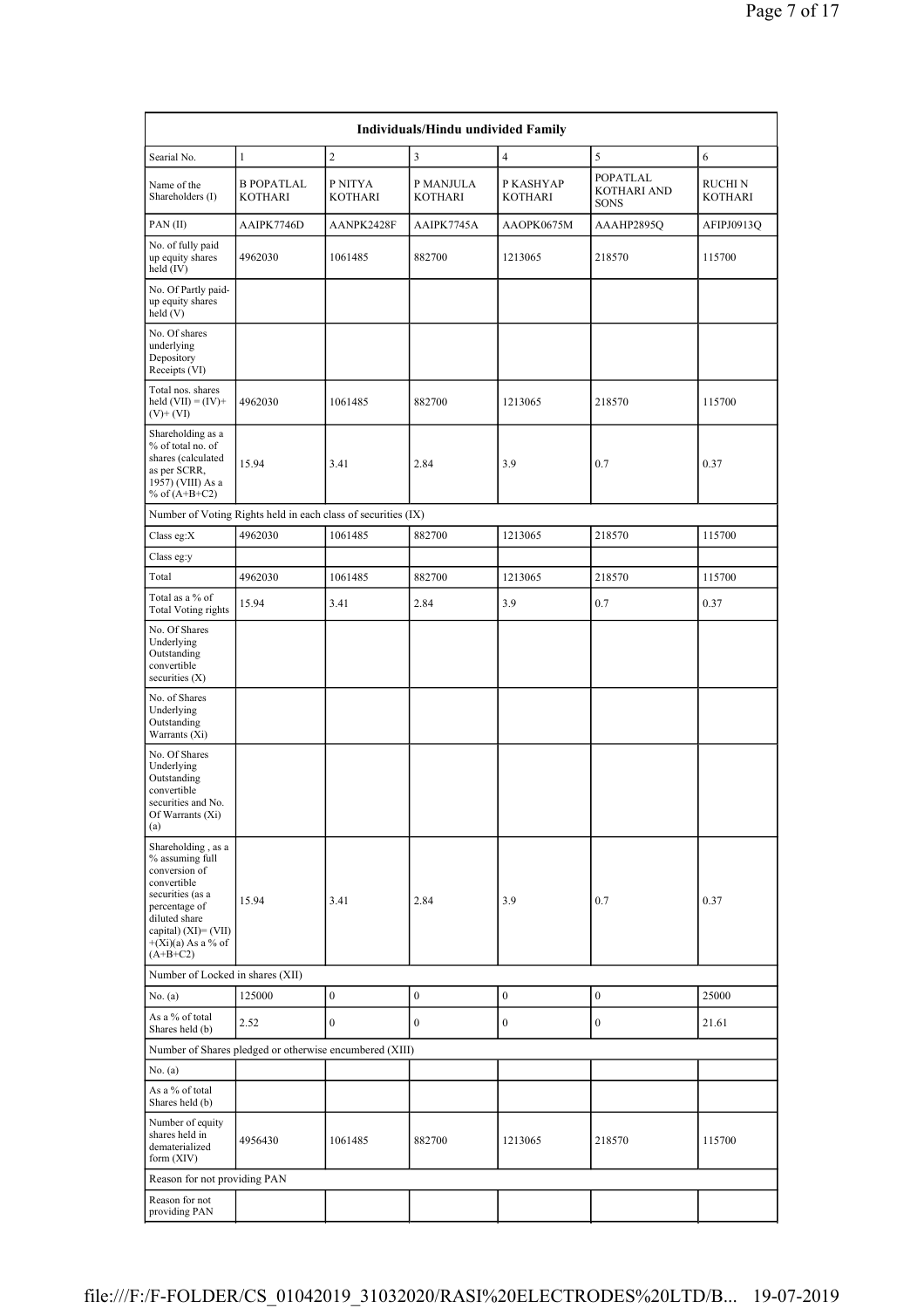| Individuals/Hindu undivided Family                                                                                                                                                           |                                                               |                    |                         |                      |                                        |                    |  |  |  |  |
|----------------------------------------------------------------------------------------------------------------------------------------------------------------------------------------------|---------------------------------------------------------------|--------------------|-------------------------|----------------------|----------------------------------------|--------------------|--|--|--|--|
| Searial No.                                                                                                                                                                                  | $\mathbf{1}$                                                  | $\overline{c}$     | $\overline{\mathbf{3}}$ | $\overline{4}$       | 5                                      | 6                  |  |  |  |  |
| Name of the<br>Shareholders (I)                                                                                                                                                              | <b>B POPATLAL</b><br>KOTHARI                                  | P NITYA<br>KOTHARI | P MANJULA<br>KOTHARI    | P KASHYAP<br>KOTHARI | POPATLAL<br>KOTHARI AND<br><b>SONS</b> | RUCHI N<br>KOTHARI |  |  |  |  |
| PAN(II)                                                                                                                                                                                      | AAIPK7746D                                                    | AANPK2428F         | AAIPK7745A              | AAOPK0675M           | AAAHP2895Q                             | AFIPJ0913Q         |  |  |  |  |
| No. of fully paid<br>up equity shares<br>held (IV)                                                                                                                                           | 4962030                                                       | 1061485            | 882700                  | 1213065              | 218570                                 | 115700             |  |  |  |  |
| No. Of Partly paid-<br>up equity shares<br>held (V)                                                                                                                                          |                                                               |                    |                         |                      |                                        |                    |  |  |  |  |
| No. Of shares<br>underlying<br>Depository<br>Receipts (VI)                                                                                                                                   |                                                               |                    |                         |                      |                                        |                    |  |  |  |  |
| Total nos. shares<br>held $(VII) = (IV) +$<br>$(V)$ + $(VI)$                                                                                                                                 | 4962030                                                       | 1061485            | 882700                  | 1213065              | 218570                                 | 115700             |  |  |  |  |
| Shareholding as a<br>% of total no. of<br>shares (calculated<br>as per SCRR,<br>1957) (VIII) As a<br>% of $(A+B+C2)$                                                                         | 15.94                                                         | 3.41               | 2.84                    | 3.9                  | 0.7                                    | 0.37               |  |  |  |  |
|                                                                                                                                                                                              | Number of Voting Rights held in each class of securities (IX) |                    |                         |                      |                                        |                    |  |  |  |  |
| Class eg:X                                                                                                                                                                                   | 4962030                                                       | 1061485            | 882700                  | 1213065              | 218570                                 | 115700             |  |  |  |  |
| Class eg:y                                                                                                                                                                                   |                                                               |                    |                         |                      |                                        |                    |  |  |  |  |
| Total                                                                                                                                                                                        | 4962030                                                       | 1061485            | 882700                  | 1213065              | 218570                                 | 115700             |  |  |  |  |
| Total as a % of<br><b>Total Voting rights</b>                                                                                                                                                | 15.94                                                         | 3.41               | 2.84                    | 3.9                  | 0.7                                    | 0.37               |  |  |  |  |
| No. Of Shares<br>Underlying<br>Outstanding<br>convertible<br>securities $(X)$                                                                                                                |                                                               |                    |                         |                      |                                        |                    |  |  |  |  |
| No. of Shares<br>Underlying<br>Outstanding<br>Warrants (Xi)                                                                                                                                  |                                                               |                    |                         |                      |                                        |                    |  |  |  |  |
| No. Of Shares<br>Underlying<br>Outstanding<br>convertible<br>securities and No.<br>Of Warrants (Xi)<br>(a)                                                                                   |                                                               |                    |                         |                      |                                        |                    |  |  |  |  |
| Shareholding, as a<br>% assuming full<br>conversion of<br>convertible<br>securities (as a<br>percentage of<br>diluted share<br>capital) $(XI) = (VII)$<br>$+(Xi)(a)$ As a % of<br>$(A+B+C2)$ | 15.94                                                         | 3.41               | 2.84                    | 3.9                  | 0.7                                    | 0.37               |  |  |  |  |
| Number of Locked in shares (XII)                                                                                                                                                             |                                                               |                    |                         |                      |                                        |                    |  |  |  |  |
| No. (a)                                                                                                                                                                                      | 125000                                                        | $\boldsymbol{0}$   | $\boldsymbol{0}$        | $\boldsymbol{0}$     | 0                                      | 25000              |  |  |  |  |
| As a % of total<br>Shares held (b)                                                                                                                                                           | 2.52                                                          | $\mathbf{0}$       | $\mathbf{0}$            | $\boldsymbol{0}$     | $\boldsymbol{0}$                       | 21.61              |  |  |  |  |
|                                                                                                                                                                                              | Number of Shares pledged or otherwise encumbered (XIII)       |                    |                         |                      |                                        |                    |  |  |  |  |
| No. (a)                                                                                                                                                                                      |                                                               |                    |                         |                      |                                        |                    |  |  |  |  |
| As a % of total<br>Shares held (b)                                                                                                                                                           |                                                               |                    |                         |                      |                                        |                    |  |  |  |  |
| Number of equity<br>shares held in<br>dematerialized<br>form (XIV)                                                                                                                           | 4956430                                                       | 1061485            | 882700                  | 1213065              | 218570                                 | 115700             |  |  |  |  |
| Reason for not providing PAN                                                                                                                                                                 |                                                               |                    |                         |                      |                                        |                    |  |  |  |  |
| Reason for not<br>providing PAN                                                                                                                                                              |                                                               |                    |                         |                      |                                        |                    |  |  |  |  |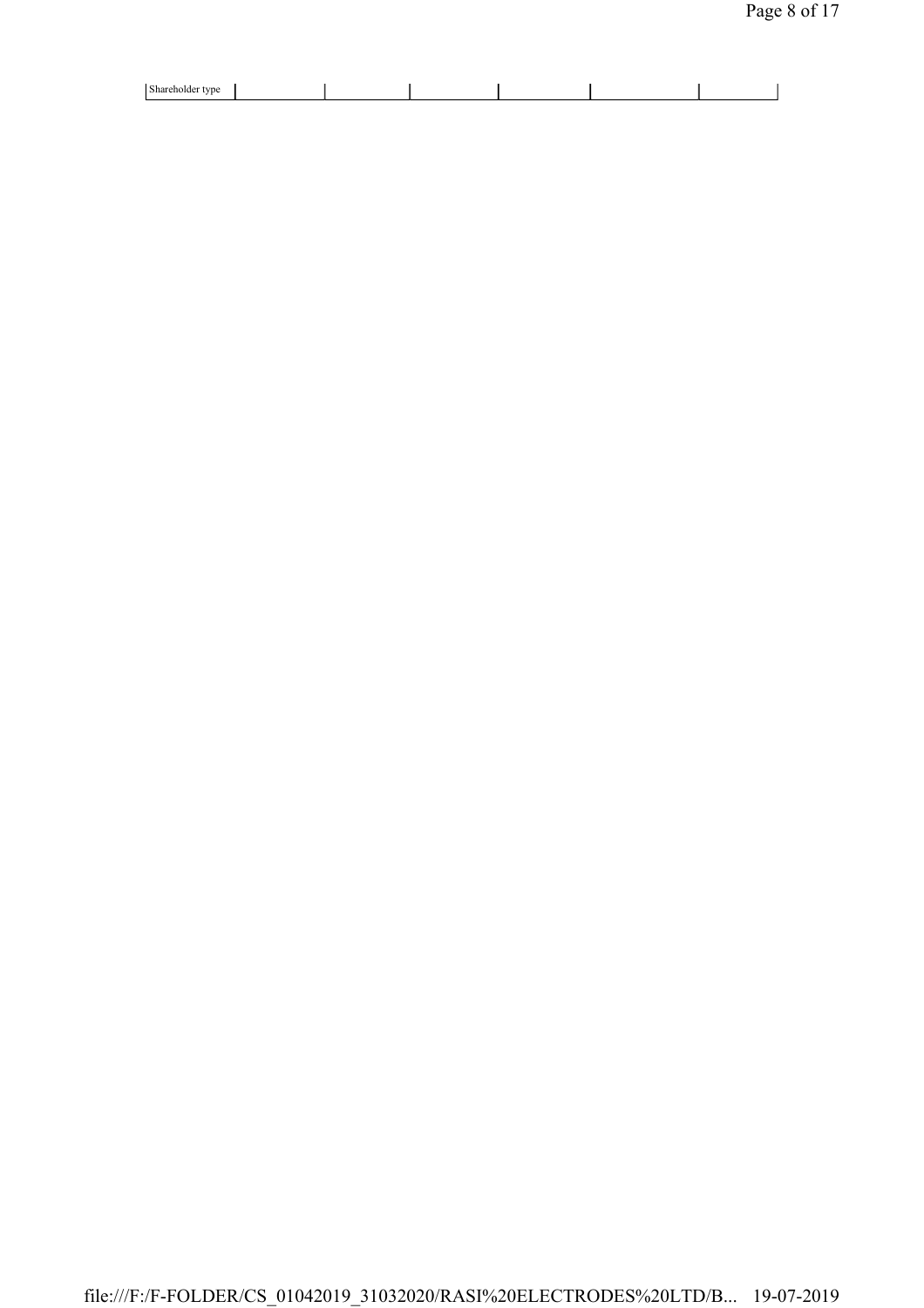| Shareholder type |  |  |  |
|------------------|--|--|--|
|                  |  |  |  |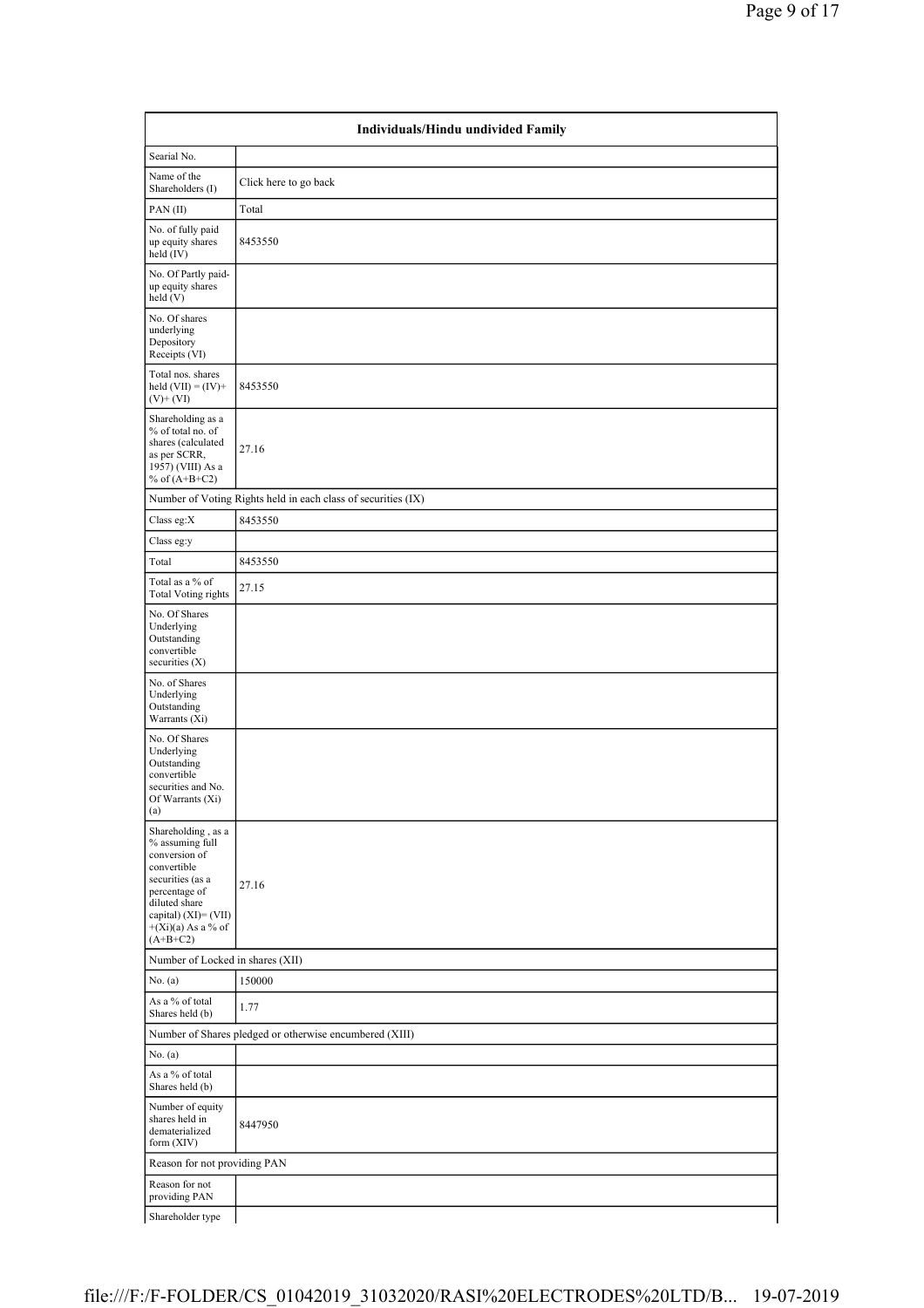| Searial No.                                                                                                                                                                               |                                                               |
|-------------------------------------------------------------------------------------------------------------------------------------------------------------------------------------------|---------------------------------------------------------------|
| Name of the<br>Shareholders (I)                                                                                                                                                           | Click here to go back                                         |
| PAN(II)                                                                                                                                                                                   | Total                                                         |
| No. of fully paid<br>up equity shares<br>held (IV)                                                                                                                                        | 8453550                                                       |
| No. Of Partly paid-<br>up equity shares<br>held(V)                                                                                                                                        |                                                               |
| No. Of shares<br>underlying<br>Depository<br>Receipts (VI)                                                                                                                                |                                                               |
| Total nos. shares<br>held $(VII) = (IV) +$<br>$(V)+(VI)$                                                                                                                                  | 8453550                                                       |
| Shareholding as a<br>% of total no. of<br>shares (calculated<br>as per SCRR,<br>1957) (VIII) As a<br>% of $(A+B+C2)$                                                                      | 27.16                                                         |
|                                                                                                                                                                                           | Number of Voting Rights held in each class of securities (IX) |
| Class eg:X                                                                                                                                                                                | 8453550                                                       |
| Class eg:y                                                                                                                                                                                |                                                               |
| Total                                                                                                                                                                                     | 8453550                                                       |
| Total as a % of<br><b>Total Voting rights</b>                                                                                                                                             | 27.15                                                         |
| No. Of Shares<br>Underlying<br>Outstanding<br>convertible<br>securities $(X)$                                                                                                             |                                                               |
| No. of Shares<br>Underlying<br>Outstanding<br>Warrants $(X_i)$                                                                                                                            |                                                               |
| No. Of Shares<br>Underlying<br>Outstanding<br>convertible<br>securities and No.<br>Of Warrants (Xi)<br>(a)                                                                                |                                                               |
| Shareholding, as a<br>% assuming full<br>conversion of<br>convertible<br>securities (as a<br>percentage of<br>diluted share<br>capital) (XI)= (VII)<br>$+(Xi)(a)$ As a % of<br>$(A+B+C2)$ | 27.16                                                         |
| Number of Locked in shares (XII)                                                                                                                                                          |                                                               |
| No. $(a)$                                                                                                                                                                                 | 150000                                                        |
| As a % of total<br>Shares held (b)                                                                                                                                                        | 1.77                                                          |
|                                                                                                                                                                                           | Number of Shares pledged or otherwise encumbered (XIII)       |
| No. $(a)$                                                                                                                                                                                 |                                                               |
| As a % of total<br>Shares held (b)                                                                                                                                                        |                                                               |
| Number of equity<br>shares held in<br>dematerialized<br>form (XIV)                                                                                                                        | 8447950                                                       |
| Reason for not providing PAN                                                                                                                                                              |                                                               |
| Reason for not<br>providing PAN                                                                                                                                                           |                                                               |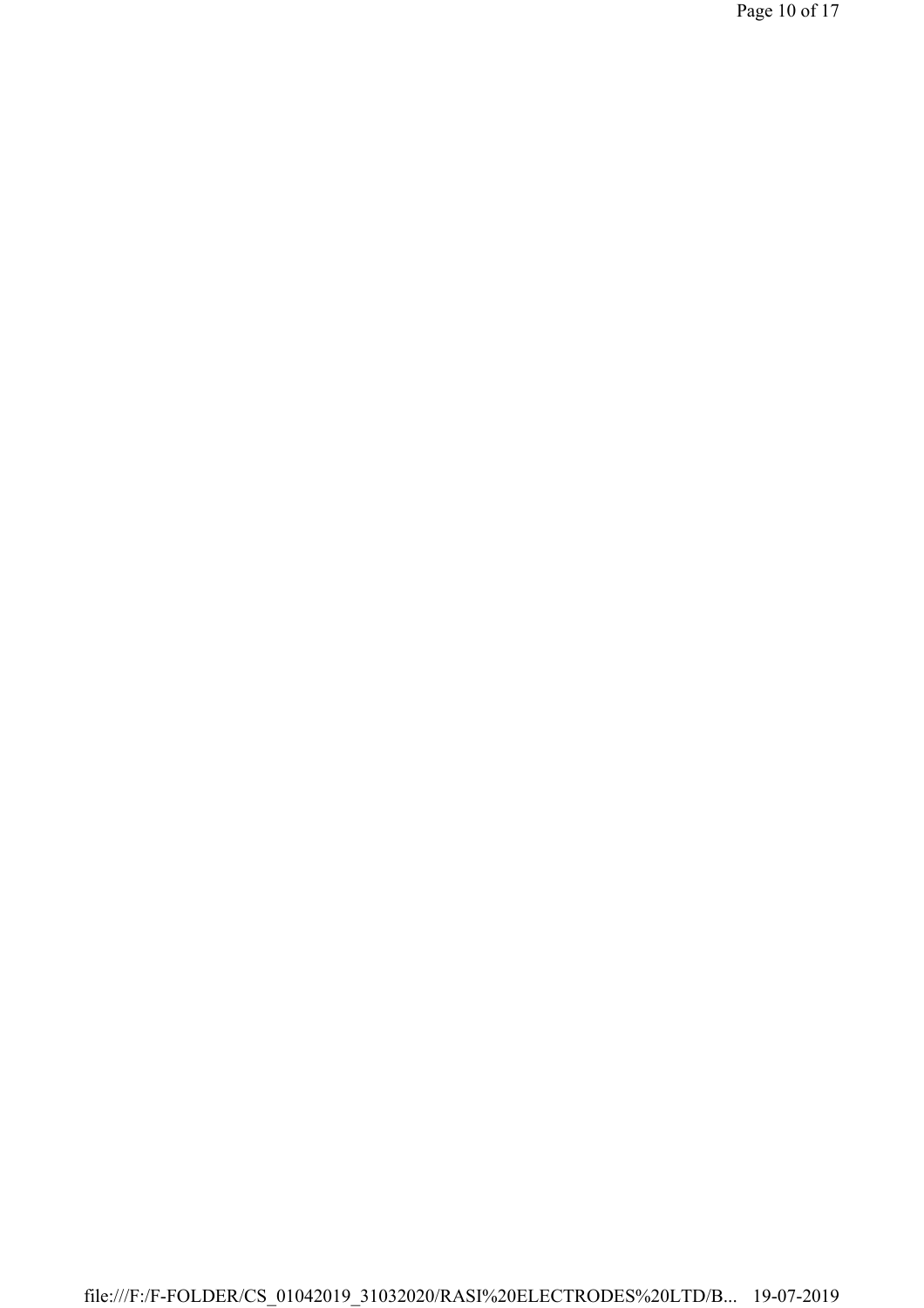Page 10 of 17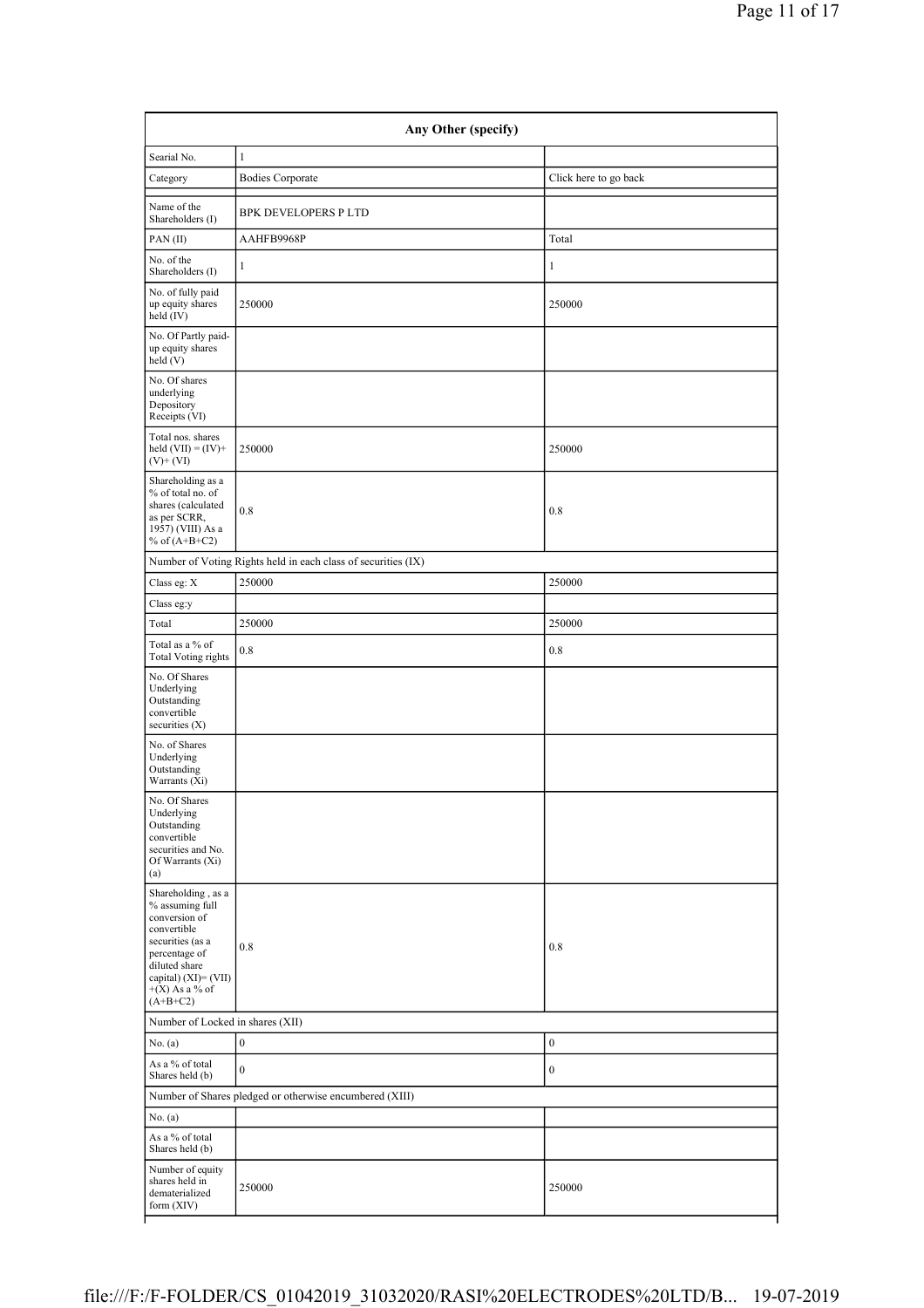| Searial No.                                                                                                                                                                              | $\mathbf{1}$                                                  |                       |  |
|------------------------------------------------------------------------------------------------------------------------------------------------------------------------------------------|---------------------------------------------------------------|-----------------------|--|
| Category                                                                                                                                                                                 | <b>Bodies Corporate</b>                                       | Click here to go back |  |
| Name of the<br>Shareholders (I)                                                                                                                                                          | <b>BPK DEVELOPERS P LTD</b>                                   |                       |  |
| PAN(II)                                                                                                                                                                                  | AAHFB9968P                                                    | Total                 |  |
| No. of the<br>Shareholders (I)                                                                                                                                                           | $\mathbf{1}$                                                  | $\mathbf{1}$          |  |
| No. of fully paid<br>up equity shares<br>held (IV)                                                                                                                                       | 250000                                                        | 250000                |  |
| No. Of Partly paid-<br>up equity shares<br>$\text{held}(V)$                                                                                                                              |                                                               |                       |  |
| No. Of shares<br>underlying<br>Depository<br>Receipts (VI)                                                                                                                               |                                                               |                       |  |
| Total nos. shares<br>held $(VII) = (IV) +$<br>$(V)+(VI)$                                                                                                                                 | 250000                                                        | 250000                |  |
| Shareholding as a<br>% of total no. of<br>shares (calculated<br>as per SCRR,<br>1957) (VIII) As a<br>% of $(A+B+C2)$                                                                     | 0.8                                                           | 0.8                   |  |
|                                                                                                                                                                                          | Number of Voting Rights held in each class of securities (IX) |                       |  |
| Class eg: X                                                                                                                                                                              | 250000                                                        | 250000                |  |
| Class eg:y                                                                                                                                                                               |                                                               |                       |  |
| Total                                                                                                                                                                                    | 250000                                                        | 250000                |  |
| Total as a % of<br><b>Total Voting rights</b>                                                                                                                                            | $0.8\,$                                                       | $0.8\,$               |  |
| No. Of Shares<br>Underlying<br>Outstanding<br>convertible<br>securities $(X)$                                                                                                            |                                                               |                       |  |
| No. of Shares<br>Underlying<br>Outstanding<br>Warrants $(X_i)$                                                                                                                           |                                                               |                       |  |
| No. Of Shares<br>Underlying<br>Outstanding<br>convertible<br>securities and No.<br>Of Warrants (Xi)<br>(a)                                                                               |                                                               |                       |  |
| Shareholding, as a<br>% assuming full<br>conversion of<br>convertible<br>securities (as a<br>percentage of<br>diluted share<br>capital) $(XI) = (VII)$<br>$+(X)$ As a % of<br>$(A+B+C2)$ | 0.8                                                           | 0.8                   |  |
| Number of Locked in shares (XII)                                                                                                                                                         |                                                               |                       |  |
| No. $(a)$                                                                                                                                                                                | $\boldsymbol{0}$                                              | $\boldsymbol{0}$      |  |
| As a % of total<br>Shares held (b)                                                                                                                                                       | $\overline{0}$                                                | $\boldsymbol{0}$      |  |
|                                                                                                                                                                                          | Number of Shares pledged or otherwise encumbered (XIII)       |                       |  |
| No. (a)                                                                                                                                                                                  |                                                               |                       |  |
| As a $\%$ of total<br>Shares held (b)                                                                                                                                                    |                                                               |                       |  |
| Number of equity<br>shares held in<br>dematerialized<br>form $(XIV)$                                                                                                                     | 250000                                                        | 250000                |  |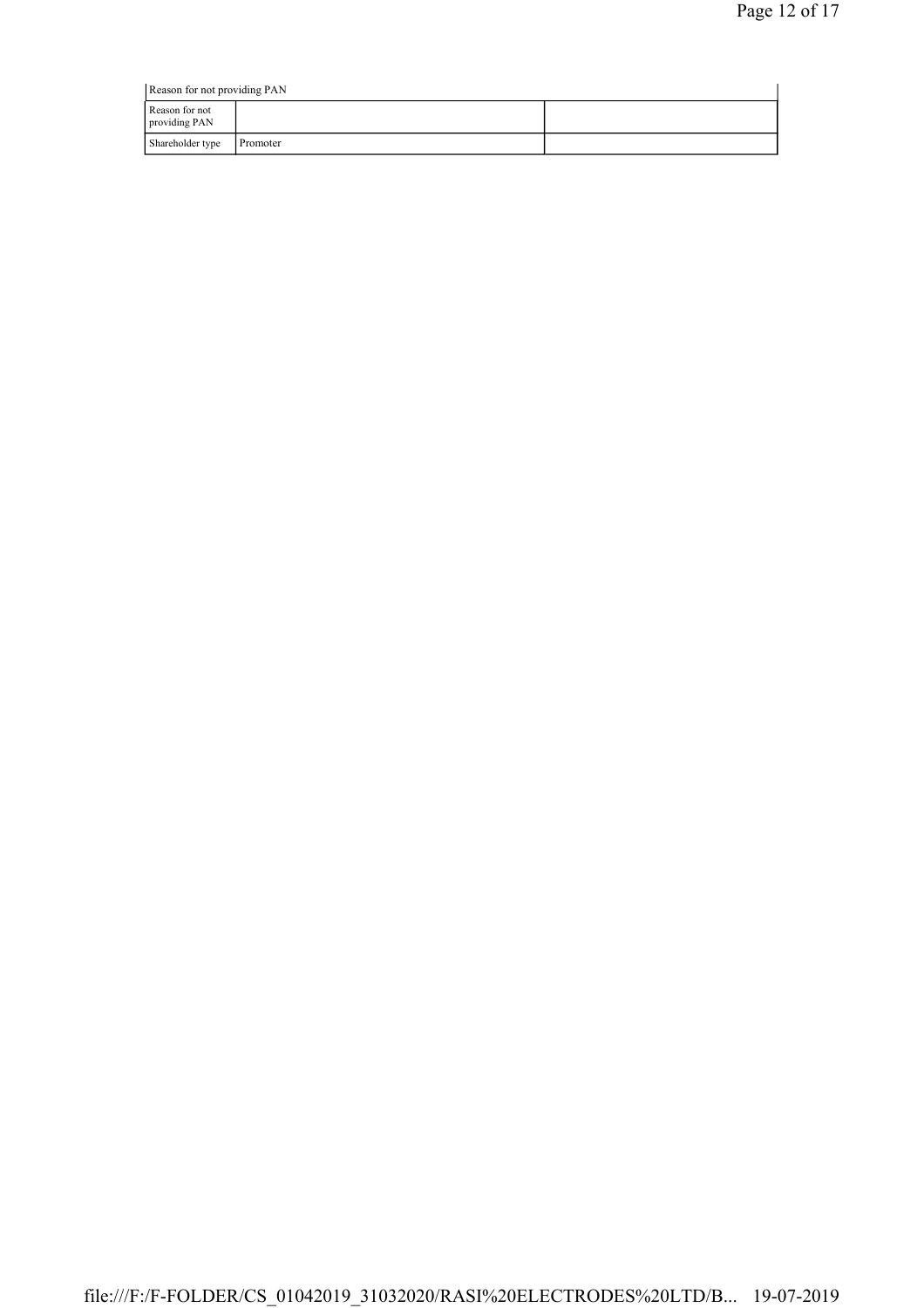|                                 | Reason for not providing PAN |  |  |  |  |  |  |  |
|---------------------------------|------------------------------|--|--|--|--|--|--|--|
| Reason for not<br>providing PAN |                              |  |  |  |  |  |  |  |
| Shareholder type                | Promoter                     |  |  |  |  |  |  |  |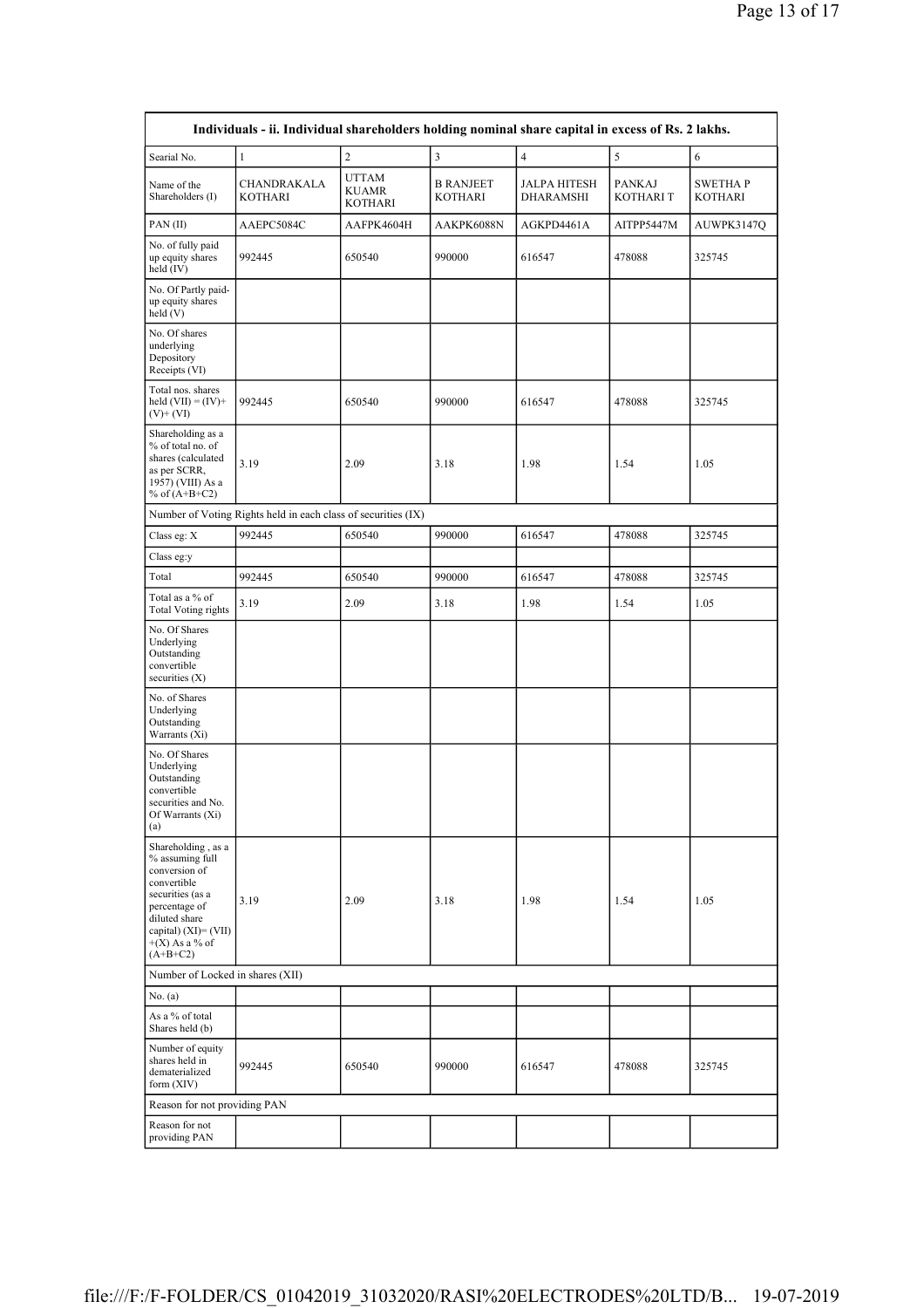|                                                                                                                                                                                       | Individuals - ii. Individual shareholders holding nominal share capital in excess of Rs. 2 lakhs. |                                         |                             |                                         |                                  |                           |  |  |  |  |  |
|---------------------------------------------------------------------------------------------------------------------------------------------------------------------------------------|---------------------------------------------------------------------------------------------------|-----------------------------------------|-----------------------------|-----------------------------------------|----------------------------------|---------------------------|--|--|--|--|--|
| Searial No.                                                                                                                                                                           | $\mathbf{1}$                                                                                      | $\overline{2}$                          | 3                           | $\overline{4}$                          | 5                                | 6                         |  |  |  |  |  |
| Name of the<br>Shareholders (I)                                                                                                                                                       | CHANDRAKALA<br><b>KOTHARI</b>                                                                     | <b>UTTAM</b><br><b>KUAMR</b><br>KOTHARI | <b>B RANJEET</b><br>KOTHARI | <b>JALPA HITESH</b><br><b>DHARAMSHI</b> | <b>PANKAJ</b><br><b>KOTHARIT</b> | <b>SWETHAP</b><br>KOTHARI |  |  |  |  |  |
| PAN(II)                                                                                                                                                                               | AAEPC5084C                                                                                        | AAFPK4604H                              | AAKPK6088N                  | AGKPD4461A                              | AITPP5447M                       | AUWPK3147Q                |  |  |  |  |  |
| No. of fully paid<br>up equity shares<br>held $(IV)$                                                                                                                                  | 992445                                                                                            | 650540                                  | 990000                      | 616547                                  | 478088                           | 325745                    |  |  |  |  |  |
| No. Of Partly paid-<br>up equity shares<br>held(V)                                                                                                                                    |                                                                                                   |                                         |                             |                                         |                                  |                           |  |  |  |  |  |
| No. Of shares<br>underlying<br>Depository<br>Receipts (VI)                                                                                                                            |                                                                                                   |                                         |                             |                                         |                                  |                           |  |  |  |  |  |
| Total nos. shares<br>held $(VII) = (IV) +$<br>$(V)$ + $(VI)$                                                                                                                          | 992445                                                                                            | 650540                                  | 990000                      | 616547                                  | 478088                           | 325745                    |  |  |  |  |  |
| Shareholding as a<br>% of total no. of<br>shares (calculated<br>as per SCRR,<br>1957) (VIII) As a<br>% of $(A+B+C2)$                                                                  | 3.19                                                                                              | 2.09                                    | 3.18                        | 1.98                                    | 1.54                             | 1.05                      |  |  |  |  |  |
|                                                                                                                                                                                       | Number of Voting Rights held in each class of securities (IX)                                     |                                         |                             |                                         |                                  |                           |  |  |  |  |  |
| Class eg: X                                                                                                                                                                           | 992445                                                                                            | 650540                                  | 990000                      | 616547                                  | 478088                           | 325745                    |  |  |  |  |  |
| Class eg:y                                                                                                                                                                            |                                                                                                   |                                         |                             |                                         |                                  |                           |  |  |  |  |  |
| Total                                                                                                                                                                                 | 992445                                                                                            | 650540                                  | 990000                      | 616547                                  | 478088                           | 325745                    |  |  |  |  |  |
| Total as a % of<br><b>Total Voting rights</b>                                                                                                                                         | 3.19                                                                                              | 2.09                                    | 3.18                        | 1.98                                    | 1.54                             | 1.05                      |  |  |  |  |  |
| No. Of Shares<br>Underlying<br>Outstanding<br>convertible<br>securities $(X)$                                                                                                         |                                                                                                   |                                         |                             |                                         |                                  |                           |  |  |  |  |  |
| No. of Shares<br>Underlying<br>Outstanding<br>Warrants (Xi)                                                                                                                           |                                                                                                   |                                         |                             |                                         |                                  |                           |  |  |  |  |  |
| No. Of Shares<br>Underlying<br>Outstanding<br>convertible<br>securities and No.<br>Of Warrants $(Xi)$<br>(a)                                                                          |                                                                                                   |                                         |                             |                                         |                                  |                           |  |  |  |  |  |
| Shareholding, as a<br>% assuming full<br>conversion of<br>convertible<br>securities (as a<br>percentage of<br>diluted share<br>capital) (XI)= (VII)<br>$+(X)$ As a % of<br>$(A+B+C2)$ | 3.19                                                                                              | 2.09                                    | 3.18                        | 1.98                                    | 1.54                             | 1.05                      |  |  |  |  |  |
| Number of Locked in shares (XII)                                                                                                                                                      |                                                                                                   |                                         |                             |                                         |                                  |                           |  |  |  |  |  |
| No. (a)                                                                                                                                                                               |                                                                                                   |                                         |                             |                                         |                                  |                           |  |  |  |  |  |
| As a % of total<br>Shares held (b)                                                                                                                                                    |                                                                                                   |                                         |                             |                                         |                                  |                           |  |  |  |  |  |
| Number of equity<br>shares held in<br>dematerialized<br>form (XIV)                                                                                                                    | 992445                                                                                            | 650540                                  | 990000                      | 616547                                  | 478088                           | 325745                    |  |  |  |  |  |
| Reason for not providing PAN                                                                                                                                                          |                                                                                                   |                                         |                             |                                         |                                  |                           |  |  |  |  |  |
| Reason for not<br>providing PAN                                                                                                                                                       |                                                                                                   |                                         |                             |                                         |                                  |                           |  |  |  |  |  |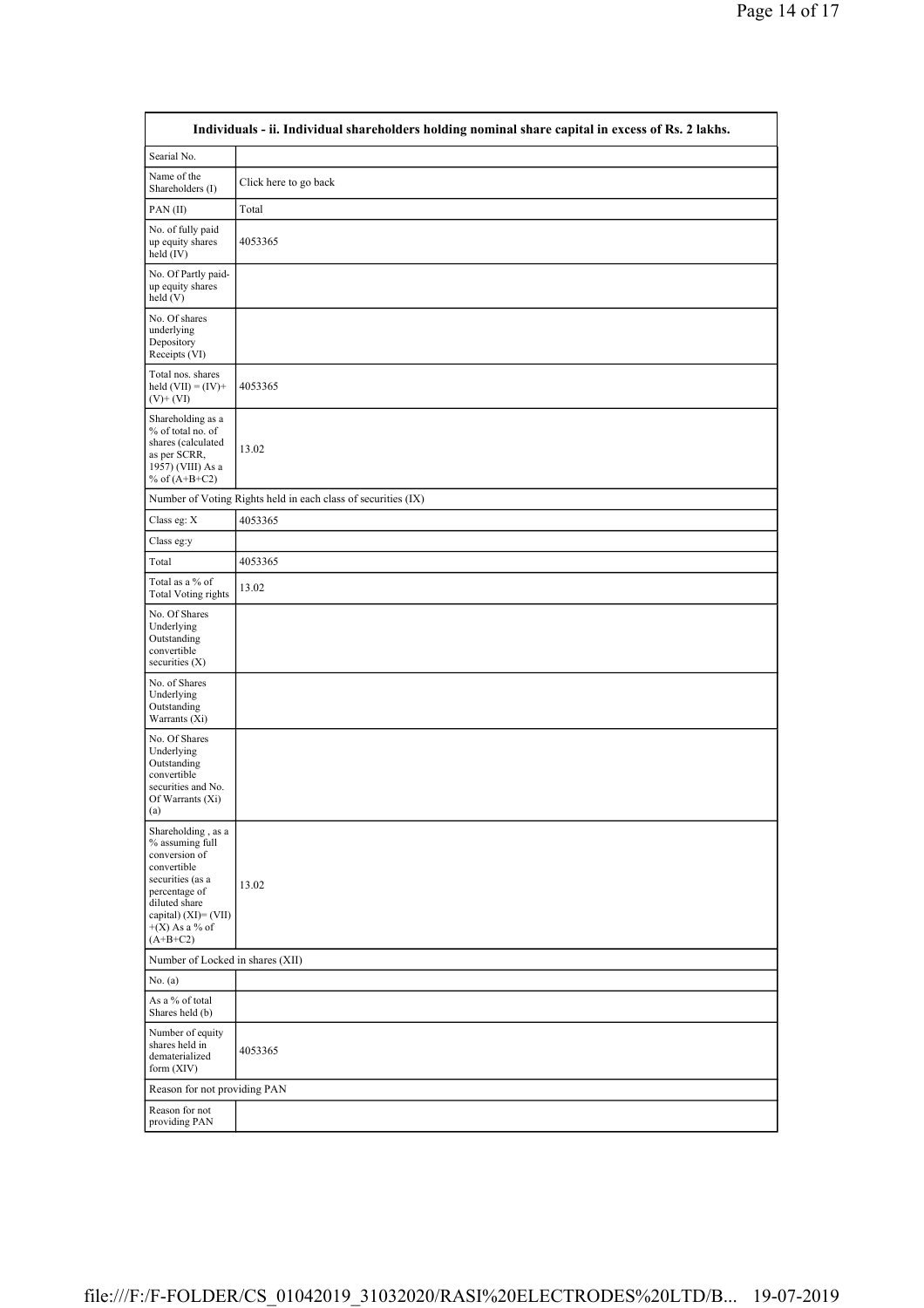| Individuals - ii. Individual shareholders holding nominal share capital in excess of Rs. 2 lakhs.                                                                                        |                                                               |  |  |  |  |  |
|------------------------------------------------------------------------------------------------------------------------------------------------------------------------------------------|---------------------------------------------------------------|--|--|--|--|--|
| Searial No.                                                                                                                                                                              |                                                               |  |  |  |  |  |
| Name of the<br>Shareholders (I)                                                                                                                                                          | Click here to go back                                         |  |  |  |  |  |
| PAN(II)                                                                                                                                                                                  | Total                                                         |  |  |  |  |  |
| No. of fully paid<br>up equity shares<br>held $(IV)$                                                                                                                                     | 4053365                                                       |  |  |  |  |  |
| No. Of Partly paid-<br>up equity shares<br>held (V)                                                                                                                                      |                                                               |  |  |  |  |  |
| No. Of shares<br>underlying<br>Depository<br>Receipts (VI)                                                                                                                               |                                                               |  |  |  |  |  |
| Total nos. shares<br>held $(VII) = (IV) +$<br>$(V)$ + $(VI)$                                                                                                                             | 4053365                                                       |  |  |  |  |  |
| Shareholding as a<br>% of total no. of<br>shares (calculated<br>as per SCRR,<br>1957) (VIII) As a<br>% of $(A+B+C2)$                                                                     | 13.02                                                         |  |  |  |  |  |
|                                                                                                                                                                                          | Number of Voting Rights held in each class of securities (IX) |  |  |  |  |  |
| Class eg: X                                                                                                                                                                              | 4053365                                                       |  |  |  |  |  |
| Class eg:y                                                                                                                                                                               |                                                               |  |  |  |  |  |
| Total                                                                                                                                                                                    | 4053365                                                       |  |  |  |  |  |
| Total as a % of<br><b>Total Voting rights</b>                                                                                                                                            | 13.02                                                         |  |  |  |  |  |
| No. Of Shares<br>Underlying<br>Outstanding<br>convertible<br>securities $(X)$                                                                                                            |                                                               |  |  |  |  |  |
| No. of Shares<br>Underlying<br>Outstanding<br>Warrants (Xi)                                                                                                                              |                                                               |  |  |  |  |  |
| No. Of Shares<br>Underlying<br>Outstanding<br>convertible<br>securities and No.<br>Of Warrants (Xi)<br>(a)                                                                               |                                                               |  |  |  |  |  |
| Shareholding, as a<br>% assuming full<br>conversion of<br>convertible<br>securities (as a<br>percentage of<br>diluted share<br>capital) $(XI) = (VII)$<br>$+(X)$ As a % of<br>$(A+B+C2)$ | 13.02                                                         |  |  |  |  |  |
|                                                                                                                                                                                          | Number of Locked in shares (XII)                              |  |  |  |  |  |
| No. (a)                                                                                                                                                                                  |                                                               |  |  |  |  |  |
| As a % of total<br>Shares held (b)                                                                                                                                                       |                                                               |  |  |  |  |  |
| Number of equity<br>shares held in<br>dematerialized<br>form $(XIV)$                                                                                                                     | 4053365                                                       |  |  |  |  |  |
| Reason for not providing PAN                                                                                                                                                             |                                                               |  |  |  |  |  |
| Reason for not<br>providing PAN                                                                                                                                                          |                                                               |  |  |  |  |  |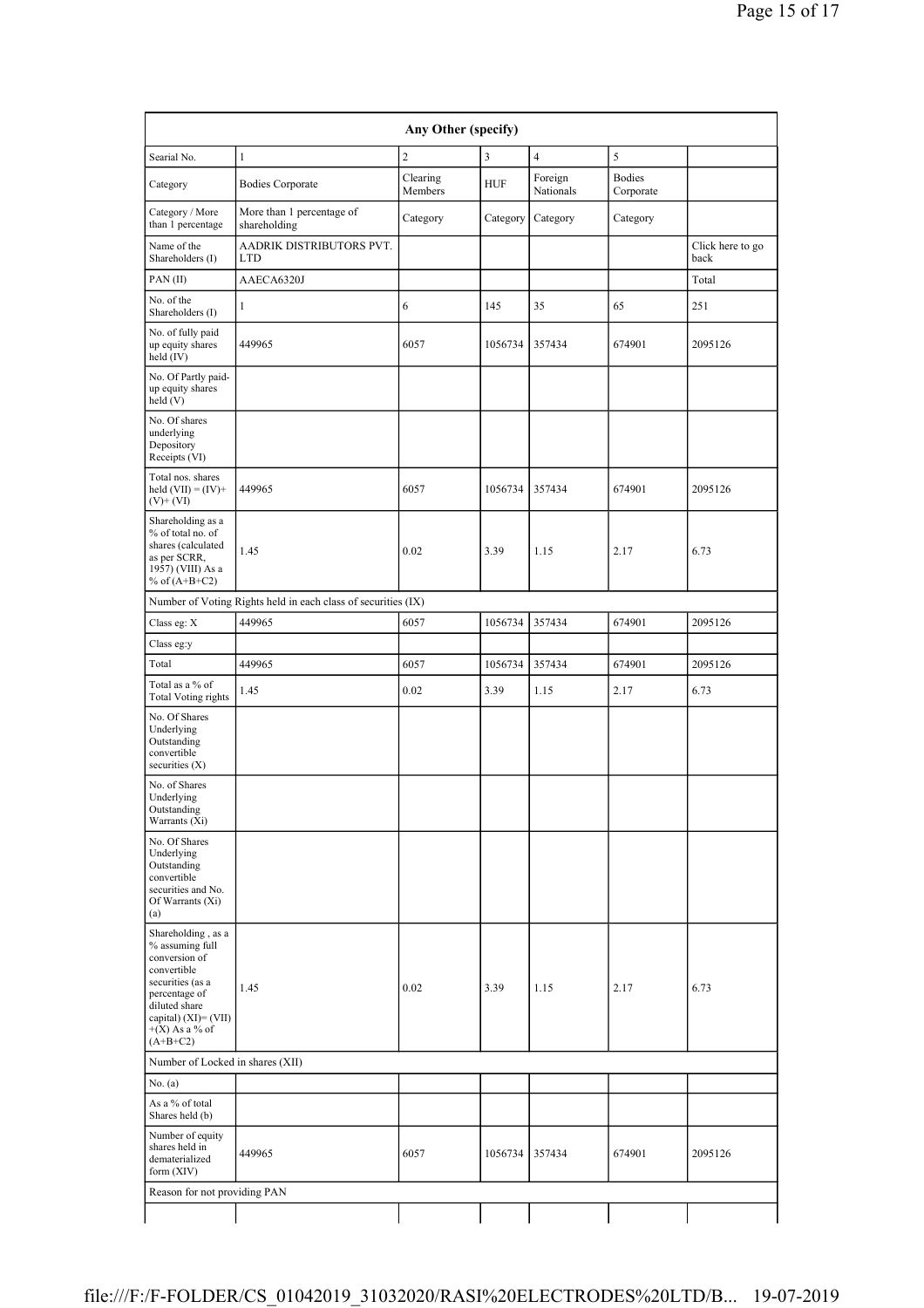| Any Other (specify)                                                                                                                                                                   |                                                               |                     |          |                      |                            |                          |  |  |  |  |
|---------------------------------------------------------------------------------------------------------------------------------------------------------------------------------------|---------------------------------------------------------------|---------------------|----------|----------------------|----------------------------|--------------------------|--|--|--|--|
| Searial No.                                                                                                                                                                           | $\mathbf{1}$                                                  | $\overline{c}$      | 3        | $\overline{4}$       | 5                          |                          |  |  |  |  |
| Category                                                                                                                                                                              | <b>Bodies Corporate</b>                                       | Clearing<br>Members | HUF      | Foreign<br>Nationals | <b>Bodies</b><br>Corporate |                          |  |  |  |  |
| Category / More<br>than 1 percentage                                                                                                                                                  | More than 1 percentage of<br>shareholding                     | Category            | Category | Category             | Category                   |                          |  |  |  |  |
| Name of the<br>Shareholders (I)                                                                                                                                                       | AADRIK DISTRIBUTORS PVT.<br><b>LTD</b>                        |                     |          |                      |                            | Click here to go<br>back |  |  |  |  |
| PAN(II)                                                                                                                                                                               | AAECA6320J                                                    |                     |          |                      |                            | Total                    |  |  |  |  |
| No. of the<br>Shareholders (I)                                                                                                                                                        | 1                                                             | 6                   | 145      | 35                   | 65                         | 251                      |  |  |  |  |
| No. of fully paid<br>up equity shares<br>held (IV)                                                                                                                                    | 449965                                                        | 6057                | 1056734  | 357434               | 674901                     | 2095126                  |  |  |  |  |
| No. Of Partly paid-<br>up equity shares<br>held (V)                                                                                                                                   |                                                               |                     |          |                      |                            |                          |  |  |  |  |
| No. Of shares<br>underlying<br>Depository<br>Receipts (VI)                                                                                                                            |                                                               |                     |          |                      |                            |                          |  |  |  |  |
| Total nos. shares<br>held $(VII) = (IV) +$<br>$(V)$ + $(VI)$                                                                                                                          | 449965                                                        | 6057                | 1056734  | 357434               | 674901                     | 2095126                  |  |  |  |  |
| Shareholding as a<br>% of total no. of<br>shares (calculated<br>as per SCRR,<br>1957) (VIII) As a<br>% of $(A+B+C2)$                                                                  | 1.45                                                          | 0.02                | 3.39     | 1.15                 | 2.17                       | 6.73                     |  |  |  |  |
|                                                                                                                                                                                       | Number of Voting Rights held in each class of securities (IX) |                     |          |                      |                            |                          |  |  |  |  |
| Class eg: X                                                                                                                                                                           | 449965                                                        | 6057                | 1056734  | 357434               | 674901                     | 2095126                  |  |  |  |  |
| Class eg:y                                                                                                                                                                            |                                                               |                     |          |                      |                            |                          |  |  |  |  |
| Total                                                                                                                                                                                 | 449965                                                        | 6057                | 1056734  | 357434               | 674901                     | 2095126                  |  |  |  |  |
| Total as a % of<br><b>Total Voting rights</b>                                                                                                                                         | 1.45                                                          | 0.02                | 3.39     | 1.15                 | 2.17                       | 6.73                     |  |  |  |  |
| No. Of Shares<br>Underlying<br>Outstanding<br>convertible<br>securities $(X)$                                                                                                         |                                                               |                     |          |                      |                            |                          |  |  |  |  |
| No. of Shares<br>Underlying<br>Outstanding<br>Warrants (Xi)                                                                                                                           |                                                               |                     |          |                      |                            |                          |  |  |  |  |
| No. Of Shares<br>Underlying<br>Outstanding<br>convertible<br>securities and No.<br>Of Warrants (Xi)<br>(a)                                                                            |                                                               |                     |          |                      |                            |                          |  |  |  |  |
| Shareholding, as a<br>% assuming full<br>conversion of<br>convertible<br>securities (as a<br>percentage of<br>diluted share<br>capital) (XI)= (VII)<br>$+(X)$ As a % of<br>$(A+B+C2)$ | 1.45                                                          | 0.02                | 3.39     | 1.15                 | 2.17                       | 6.73                     |  |  |  |  |
| Number of Locked in shares (XII)                                                                                                                                                      |                                                               |                     |          |                      |                            |                          |  |  |  |  |
| No. (a)                                                                                                                                                                               |                                                               |                     |          |                      |                            |                          |  |  |  |  |
| As a % of total<br>Shares held (b)                                                                                                                                                    |                                                               |                     |          |                      |                            |                          |  |  |  |  |
| Number of equity<br>shares held in<br>dematerialized<br>form (XIV)                                                                                                                    | 449965                                                        | 6057                | 1056734  | 357434               | 674901                     | 2095126                  |  |  |  |  |
| Reason for not providing PAN                                                                                                                                                          |                                                               |                     |          |                      |                            |                          |  |  |  |  |
|                                                                                                                                                                                       |                                                               |                     |          |                      |                            |                          |  |  |  |  |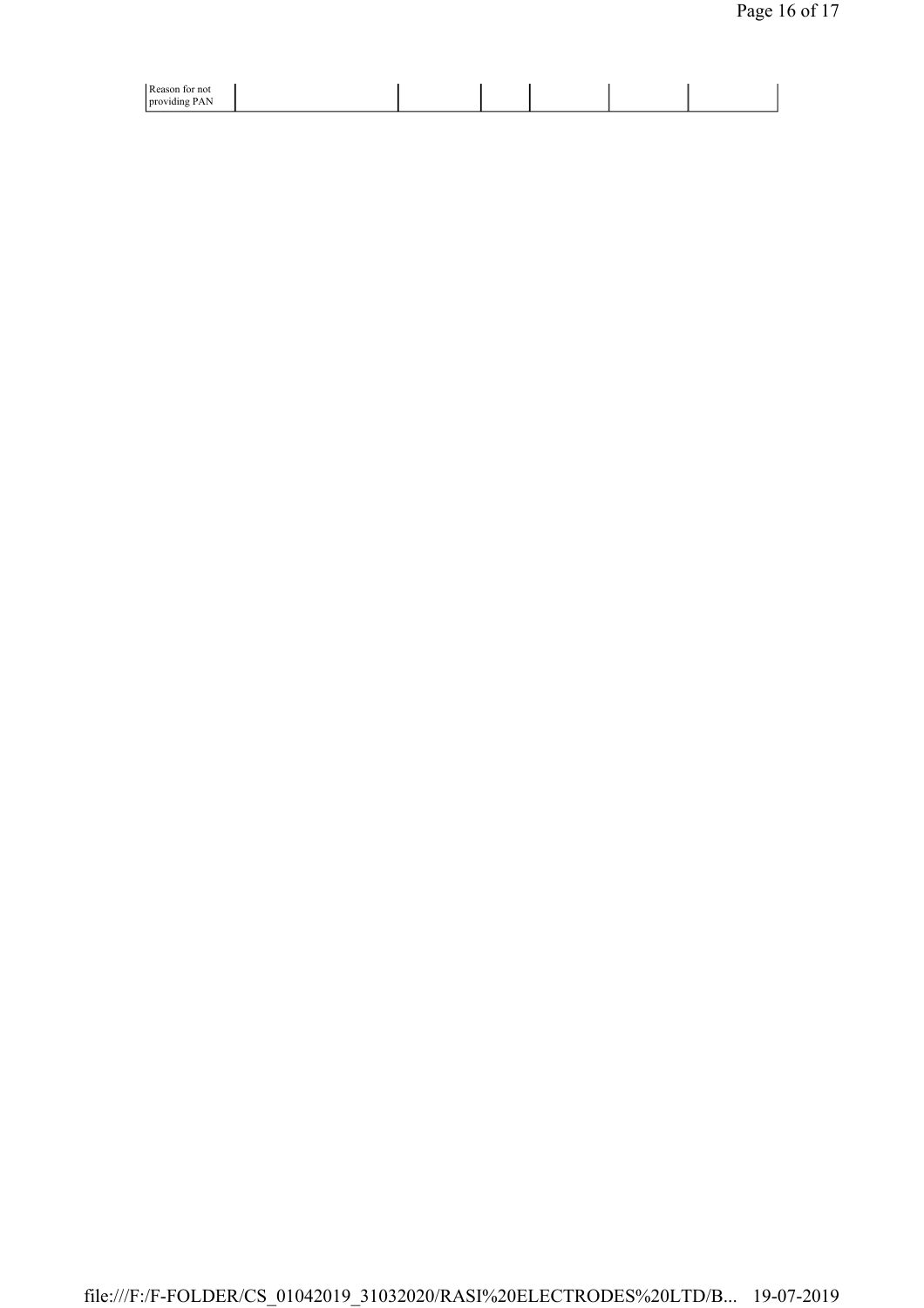| Reason<br>for not<br>. .<br>provi<br>'N.<br>ΡΔ<br>,,,,,,,,,<br>111<br>$\sim$ $\sim$ $\sim$ |  |  |  |  |
|--------------------------------------------------------------------------------------------|--|--|--|--|
|--------------------------------------------------------------------------------------------|--|--|--|--|